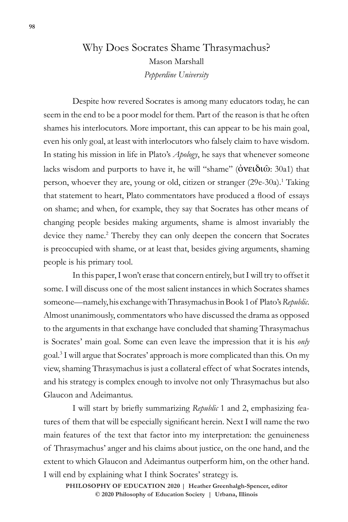# Why Does Socrates Shame Thrasymachus? Mason Marshall *Pepperdine University*

Despite how revered Socrates is among many educators today, he can seem in the end to be a poor model for them. Part of the reason is that he often shames his interlocutors. More important, this can appear to be his main goal, even his only goal, at least with interlocutors who falsely claim to have wisdom. In stating his mission in life in Plato's *Apology*, he says that whenever someone lacks wisdom and purports to have it, he will "shame" (ὀνειδιῶ: 30a1) that person, whoever they are, young or old, citizen or stranger (29e-30a).<sup>1</sup> Taking that statement to heart, Plato commentators have produced a flood of essays on shame; and when, for example, they say that Socrates has other means of changing people besides making arguments, shame is almost invariably the device they name.<sup>2</sup> Thereby they can only deepen the concern that Socrates is preoccupied with shame, or at least that, besides giving arguments, shaming people is his primary tool.

In this paper, I won't erase that concern entirely, but I will try to offset it some. I will discuss one of the most salient instances in which Socrates shames someone—namely, his exchange with Thrasymachus in Book 1 of Plato's *Republic*. Almost unanimously, commentators who have discussed the drama as opposed to the arguments in that exchange have concluded that shaming Thrasymachus is Socrates' main goal. Some can even leave the impression that it is his *only* goal.3 I will argue that Socrates' approach is more complicated than this. On my view, shaming Thrasymachus is just a collateral effect of what Socrates intends, and his strategy is complex enough to involve not only Thrasymachus but also Glaucon and Adeimantus.

I will start by briefly summarizing *Republic* 1 and 2, emphasizing features of them that will be especially significant herein. Next I will name the two main features of the text that factor into my interpretation: the genuineness of Thrasymachus' anger and his claims about justice, on the one hand, and the extent to which Glaucon and Adeimantus outperform him, on the other hand. I will end by explaining what I think Socrates' strategy is.

**PHILOSOPHY OF EDUCATION 2020 | Heather Greenhalgh-Spencer, editor © 2020 Philosophy of Education Society | Urbana, Illinois**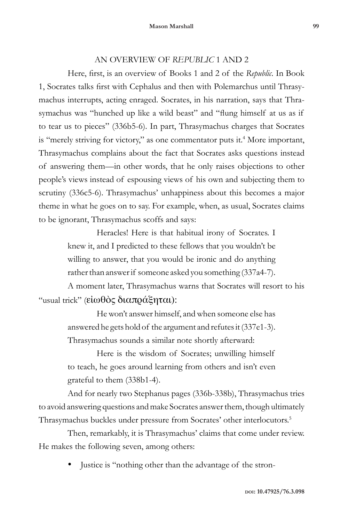### AN OVERVIEW OF *REPUBLIC* 1 AND 2

Here, first, is an overview of Books 1 and 2 of the *Republic*. In Book 1, Socrates talks first with Cephalus and then with Polemarchus until Thrasymachus interrupts, acting enraged. Socrates, in his narration, says that Thrasymachus was "hunched up like a wild beast" and "flung himself at us as if to tear us to pieces" (336b5-6). In part, Thrasymachus charges that Socrates is "merely striving for victory," as one commentator puts it.<sup>4</sup> More important, Thrasymachus complains about the fact that Socrates asks questions instead of answering them—in other words, that he only raises objections to other people's views instead of espousing views of his own and subjecting them to scrutiny (336c5-6). Thrasymachus' unhappiness about this becomes a major theme in what he goes on to say. For example, when, as usual, Socrates claims to be ignorant, Thrasymachus scoffs and says:

> Heracles! Here is that habitual irony of Socrates. I knew it, and I predicted to these fellows that you wouldn't be willing to answer, that you would be ironic and do anything rather than answer if someone asked you something (337a4-7).

A moment later, Thrasymachus warns that Socrates will resort to his "usual trick" (εἰωθὸς διαπράξηται):

> He won't answer himself, and when someone else has answered he gets hold of the argument and refutes it (337e1-3). Thrasymachus sounds a similar note shortly afterward:

> Here is the wisdom of Socrates; unwilling himself to teach, he goes around learning from others and isn't even grateful to them (338b1-4).

And for nearly two Stephanus pages (336b-338b), Thrasymachus tries to avoid answering questions and make Socrates answer them, though ultimately Thrasymachus buckles under pressure from Socrates' other interlocutors.5

Then, remarkably, it is Thrasymachus' claims that come under review. He makes the following seven, among others:

Justice is "nothing other than the advantage of the stron-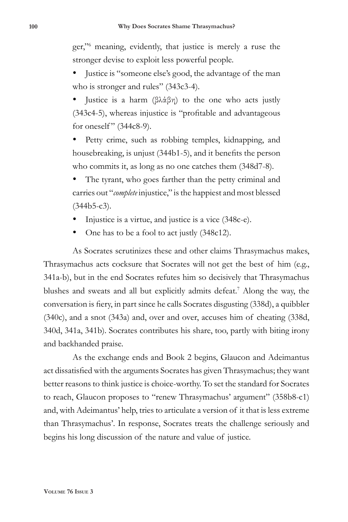ger,"6 meaning, evidently, that justice is merely a ruse the stronger devise to exploit less powerful people.

- Justice is "someone else's good, the advantage of the man who is stronger and rules" (343c3-4).
- Justice is a harm (βλάβη) to the one who acts justly (343c4-5), whereas injustice is "profitable and advantageous for oneself" (344c8-9).
- Petty crime, such as robbing temples, kidnapping, and housebreaking, is unjust (344b1-5), and it benefits the person who commits it, as long as no one catches them (348d7-8).
- The tyrant, who goes farther than the petty criminal and carries out "*complete* injustice," is the happiest and most blessed  $(344b5-c3)$ .
- Injustice is a virtue, and justice is a vice (348c-e).
- One has to be a fool to act justly (348c12).

As Socrates scrutinizes these and other claims Thrasymachus makes, Thrasymachus acts cocksure that Socrates will not get the best of him (e.g., 341a-b), but in the end Socrates refutes him so decisively that Thrasymachus blushes and sweats and all but explicitly admits defeat.<sup>7</sup> Along the way, the conversation is fiery, in part since he calls Socrates disgusting (338d), a quibbler (340c), and a snot (343a) and, over and over, accuses him of cheating (338d, 340d, 341a, 341b). Socrates contributes his share, too, partly with biting irony and backhanded praise.

As the exchange ends and Book 2 begins, Glaucon and Adeimantus act dissatisfied with the arguments Socrates has given Thrasymachus; they want better reasons to think justice is choice-worthy. To set the standard for Socrates to reach, Glaucon proposes to "renew Thrasymachus' argument" (358b8-c1) and, with Adeimantus' help, tries to articulate a version of it that is less extreme than Thrasymachus'. In response, Socrates treats the challenge seriously and begins his long discussion of the nature and value of justice.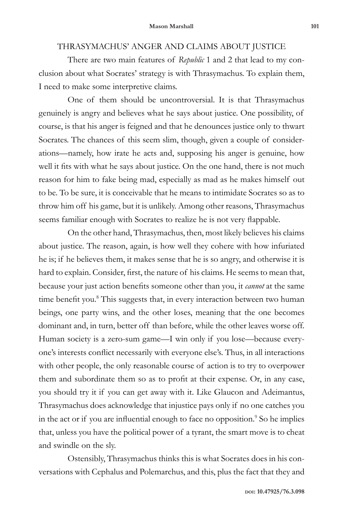#### THRASYMACHUS' ANGER AND CLAIMS ABOUT JUSTICE

There are two main features of *Republic* 1 and 2 that lead to my conclusion about what Socrates' strategy is with Thrasymachus. To explain them, I need to make some interpretive claims.

One of them should be uncontroversial. It is that Thrasymachus genuinely is angry and believes what he says about justice. One possibility, of course, is that his anger is feigned and that he denounces justice only to thwart Socrates. The chances of this seem slim, though, given a couple of considerations—namely, how irate he acts and, supposing his anger is genuine, how well it fits with what he says about justice. On the one hand, there is not much reason for him to fake being mad, especially as mad as he makes himself out to be. To be sure, it is conceivable that he means to intimidate Socrates so as to throw him off his game, but it is unlikely. Among other reasons, Thrasymachus seems familiar enough with Socrates to realize he is not very flappable.

On the other hand, Thrasymachus, then, most likely believes his claims about justice. The reason, again, is how well they cohere with how infuriated he is; if he believes them, it makes sense that he is so angry, and otherwise it is hard to explain. Consider, first, the nature of his claims. He seems to mean that, because your just action benefits someone other than you, it *cannot* at the same time benefit you.<sup>8</sup> This suggests that, in every interaction between two human beings, one party wins, and the other loses, meaning that the one becomes dominant and, in turn, better off than before, while the other leaves worse off. Human society is a zero-sum game—I win only if you lose—because everyone's interests conflict necessarily with everyone else's. Thus, in all interactions with other people, the only reasonable course of action is to try to overpower them and subordinate them so as to profit at their expense. Or, in any case, you should try it if you can get away with it. Like Glaucon and Adeimantus, Thrasymachus does acknowledge that injustice pays only if no one catches you in the act or if you are influential enough to face no opposition.<sup>9</sup> So he implies that, unless you have the political power of a tyrant, the smart move is to cheat and swindle on the sly.

Ostensibly, Thrasymachus thinks this is what Socrates does in his conversations with Cephalus and Polemarchus, and this, plus the fact that they and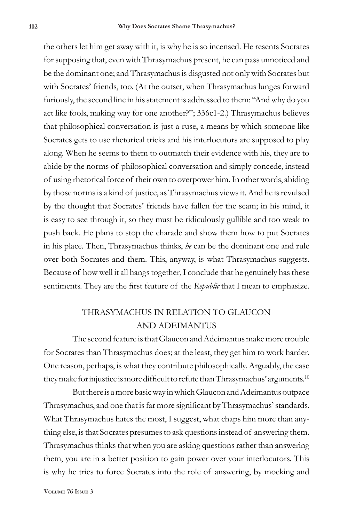the others let him get away with it, is why he is so incensed. He resents Socrates for supposing that, even with Thrasymachus present, he can pass unnoticed and be the dominant one; and Thrasymachus is disgusted not only with Socrates but with Socrates' friends, too. (At the outset, when Thrasymachus lunges forward furiously, the second line in his statement is addressed to them: "And why do you act like fools, making way for one another?"; 336c1-2.) Thrasymachus believes that philosophical conversation is just a ruse, a means by which someone like Socrates gets to use rhetorical tricks and his interlocutors are supposed to play along. When he seems to them to outmatch their evidence with his, they are to abide by the norms of philosophical conversation and simply concede, instead of using rhetorical force of their own to overpower him. In other words, abiding by those norms is a kind of justice, as Thrasymachus views it. And he is revulsed by the thought that Socrates' friends have fallen for the scam; in his mind, it is easy to see through it, so they must be ridiculously gullible and too weak to push back. He plans to stop the charade and show them how to put Socrates in his place. Then, Thrasymachus thinks, *he* can be the dominant one and rule over both Socrates and them. This, anyway, is what Thrasymachus suggests. Because of how well it all hangs together, I conclude that he genuinely has these sentiments. They are the first feature of the *Republic* that I mean to emphasize.

## THRASYMACHUS IN RELATION TO GLAUCON AND ADEIMANTUS

The second feature is that Glaucon and Adeimantus make more trouble for Socrates than Thrasymachus does; at the least, they get him to work harder. One reason, perhaps, is what they contribute philosophically. Arguably, the case they make for injustice is more difficult to refute than Thrasymachus' arguments. $^{10}$ 

But there is a more basic way in which Glaucon and Adeimantus outpace Thrasymachus, and one that is far more significant by Thrasymachus' standards. What Thrasymachus hates the most, I suggest, what chaps him more than anything else, is that Socrates presumes to ask questions instead of answering them. Thrasymachus thinks that when you are asking questions rather than answering them, you are in a better position to gain power over your interlocutors. This is why he tries to force Socrates into the role of answering, by mocking and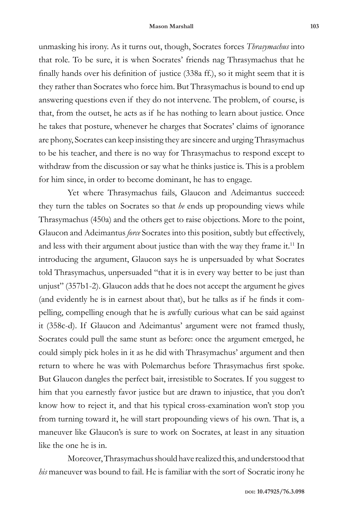unmasking his irony. As it turns out, though, Socrates forces *Thrasymachus* into that role. To be sure, it is when Socrates' friends nag Thrasymachus that he finally hands over his definition of justice (338a ff.), so it might seem that it is they rather than Socrates who force him. But Thrasymachus is bound to end up answering questions even if they do not intervene. The problem, of course, is that, from the outset, he acts as if he has nothing to learn about justice. Once he takes that posture, whenever he charges that Socrates' claims of ignorance are phony, Socrates can keep insisting they are sincere and urging Thrasymachus to be his teacher, and there is no way for Thrasymachus to respond except to withdraw from the discussion or say what he thinks justice is. This is a problem for him since, in order to become dominant, he has to engage.

Yet where Thrasymachus fails, Glaucon and Adeimantus succeed: they turn the tables on Socrates so that *he* ends up propounding views while Thrasymachus (450a) and the others get to raise objections. More to the point, Glaucon and Adeimantus *force* Socrates into this position, subtly but effectively, and less with their argument about justice than with the way they frame it.<sup>11</sup> In introducing the argument, Glaucon says he is unpersuaded by what Socrates told Thrasymachus, unpersuaded "that it is in every way better to be just than unjust" (357b1-2). Glaucon adds that he does not accept the argument he gives (and evidently he is in earnest about that), but he talks as if he finds it compelling, compelling enough that he is awfully curious what can be said against it (358c-d). If Glaucon and Adeimantus' argument were not framed thusly, Socrates could pull the same stunt as before: once the argument emerged, he could simply pick holes in it as he did with Thrasymachus' argument and then return to where he was with Polemarchus before Thrasymachus first spoke. But Glaucon dangles the perfect bait, irresistible to Socrates. If you suggest to him that you earnestly favor justice but are drawn to injustice, that you don't know how to reject it, and that his typical cross-examination won't stop you from turning toward it, he will start propounding views of his own. That is, a maneuver like Glaucon's is sure to work on Socrates, at least in any situation like the one he is in.

Moreover, Thrasymachus should have realized this, and understood that *his* maneuver was bound to fail. He is familiar with the sort of Socratic irony he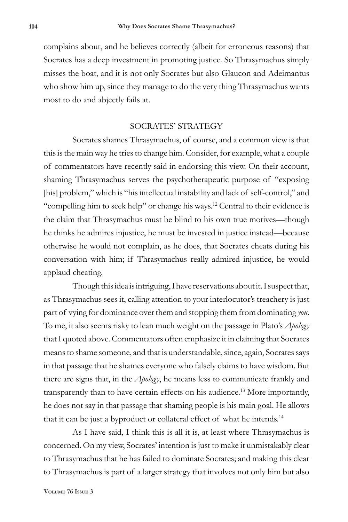complains about, and he believes correctly (albeit for erroneous reasons) that Socrates has a deep investment in promoting justice. So Thrasymachus simply misses the boat, and it is not only Socrates but also Glaucon and Adeimantus who show him up, since they manage to do the very thing Thrasymachus wants most to do and abjectly fails at.

### SOCRATES' STRATEGY

Socrates shames Thrasymachus, of course, and a common view is that this is the main way he tries to change him. Consider, for example, what a couple of commentators have recently said in endorsing this view. On their account, shaming Thrasymachus serves the psychotherapeutic purpose of "exposing [his] problem," which is "his intellectual instability and lack of self-control," and "compelling him to seek help" or change his ways.<sup>12</sup> Central to their evidence is the claim that Thrasymachus must be blind to his own true motives—though he thinks he admires injustice, he must be invested in justice instead—because otherwise he would not complain, as he does, that Socrates cheats during his conversation with him; if Thrasymachus really admired injustice, he would applaud cheating.

Though this idea is intriguing, I have reservations about it. I suspect that, as Thrasymachus sees it, calling attention to your interlocutor's treachery is just part of vying for dominance over them and stopping them from dominating *you*. To me, it also seems risky to lean much weight on the passage in Plato's *Apology* that I quoted above. Commentators often emphasize it in claiming that Socrates means to shame someone, and that is understandable, since, again, Socrates says in that passage that he shames everyone who falsely claims to have wisdom. But there are signs that, in the *Apology*, he means less to communicate frankly and transparently than to have certain effects on his audience.<sup>13</sup> More importantly, he does not say in that passage that shaming people is his main goal. He allows that it can be just a byproduct or collateral effect of what he intends.<sup>14</sup>

As I have said, I think this is all it is, at least where Thrasymachus is concerned. On my view, Socrates' intention is just to make it unmistakably clear to Thrasymachus that he has failed to dominate Socrates; and making this clear to Thrasymachus is part of a larger strategy that involves not only him but also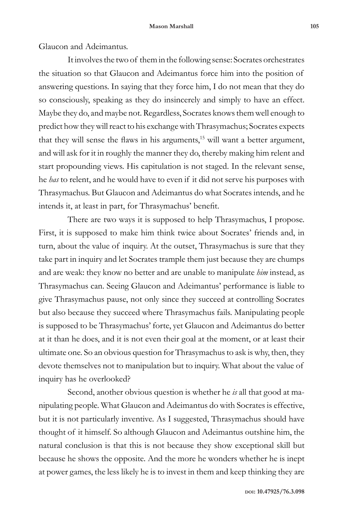Glaucon and Adeimantus.

It involves the two of them in the following sense: Socrates orchestrates the situation so that Glaucon and Adeimantus force him into the position of answering questions. In saying that they force him, I do not mean that they do so consciously, speaking as they do insincerely and simply to have an effect. Maybe they do, and maybe not. Regardless, Socrates knows them well enough to predict how they will react to his exchange with Thrasymachus; Socrates expects that they will sense the flaws in his arguments,<sup>15</sup> will want a better argument, and will ask for it in roughly the manner they do, thereby making him relent and start propounding views. His capitulation is not staged. In the relevant sense, he *has* to relent, and he would have to even if it did not serve his purposes with Thrasymachus. But Glaucon and Adeimantus do what Socrates intends, and he intends it, at least in part, for Thrasymachus' benefit.

There are two ways it is supposed to help Thrasymachus, I propose. First, it is supposed to make him think twice about Socrates' friends and, in turn, about the value of inquiry. At the outset, Thrasymachus is sure that they take part in inquiry and let Socrates trample them just because they are chumps and are weak: they know no better and are unable to manipulate *him* instead, as Thrasymachus can. Seeing Glaucon and Adeimantus' performance is liable to give Thrasymachus pause, not only since they succeed at controlling Socrates but also because they succeed where Thrasymachus fails. Manipulating people is supposed to be Thrasymachus' forte, yet Glaucon and Adeimantus do better at it than he does, and it is not even their goal at the moment, or at least their ultimate one. So an obvious question for Thrasymachus to ask is why, then, they devote themselves not to manipulation but to inquiry. What about the value of inquiry has he overlooked?

Second, another obvious question is whether he *is* all that good at manipulating people. What Glaucon and Adeimantus do with Socrates is effective, but it is not particularly inventive. As I suggested, Thrasymachus should have thought of it himself. So although Glaucon and Adeimantus outshine him, the natural conclusion is that this is not because they show exceptional skill but because he shows the opposite. And the more he wonders whether he is inept at power games, the less likely he is to invest in them and keep thinking they are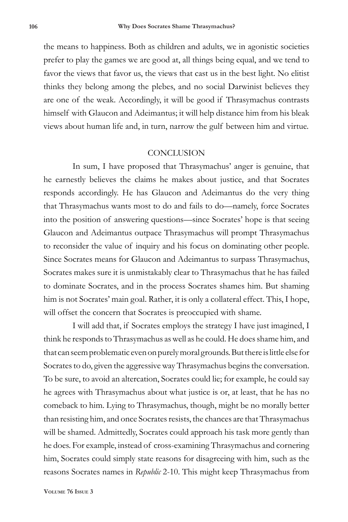the means to happiness. Both as children and adults, we in agonistic societies prefer to play the games we are good at, all things being equal, and we tend to favor the views that favor us, the views that cast us in the best light. No elitist thinks they belong among the plebes, and no social Darwinist believes they are one of the weak. Accordingly, it will be good if Thrasymachus contrasts himself with Glaucon and Adeimantus; it will help distance him from his bleak views about human life and, in turn, narrow the gulf between him and virtue.

### **CONCLUSION**

In sum, I have proposed that Thrasymachus' anger is genuine, that he earnestly believes the claims he makes about justice, and that Socrates responds accordingly. He has Glaucon and Adeimantus do the very thing that Thrasymachus wants most to do and fails to do—namely, force Socrates into the position of answering questions—since Socrates' hope is that seeing Glaucon and Adeimantus outpace Thrasymachus will prompt Thrasymachus to reconsider the value of inquiry and his focus on dominating other people. Since Socrates means for Glaucon and Adeimantus to surpass Thrasymachus, Socrates makes sure it is unmistakably clear to Thrasymachus that he has failed to dominate Socrates, and in the process Socrates shames him. But shaming him is not Socrates' main goal. Rather, it is only a collateral effect. This, I hope, will offset the concern that Socrates is preoccupied with shame.

I will add that, if Socrates employs the strategy I have just imagined, I think he responds to Thrasymachus as well as he could. He does shame him, and that can seem problematic even on purely moral grounds. But there is little else for Socrates to do, given the aggressive way Thrasymachus begins the conversation. To be sure, to avoid an altercation, Socrates could lie; for example, he could say he agrees with Thrasymachus about what justice is or, at least, that he has no comeback to him. Lying to Thrasymachus, though, might be no morally better than resisting him, and once Socrates resists, the chances are that Thrasymachus will be shamed. Admittedly, Socrates could approach his task more gently than he does. For example, instead of cross-examining Thrasymachus and cornering him, Socrates could simply state reasons for disagreeing with him, such as the reasons Socrates names in *Republic* 2-10. This might keep Thrasymachus from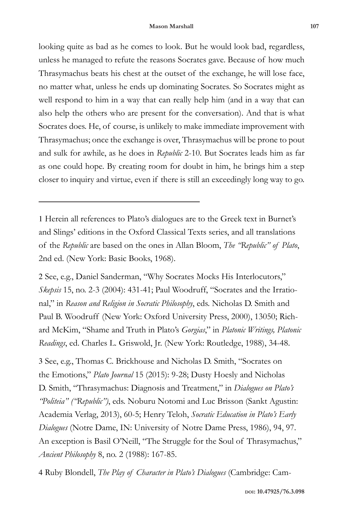looking quite as bad as he comes to look. But he would look bad, regardless, unless he managed to refute the reasons Socrates gave. Because of how much Thrasymachus beats his chest at the outset of the exchange, he will lose face, no matter what, unless he ends up dominating Socrates. So Socrates might as well respond to him in a way that can really help him (and in a way that can also help the others who are present for the conversation). And that is what Socrates does. He, of course, is unlikely to make immediate improvement with Thrasymachus; once the exchange is over, Thrasymachus will be prone to pout and sulk for awhile, as he does in *Republic* 2-10. But Socrates leads him as far as one could hope. By creating room for doubt in him, he brings him a step closer to inquiry and virtue, even if there is still an exceedingly long way to go.

1 Herein all references to Plato's dialogues are to the Greek text in Burnet's and Slings' editions in the Oxford Classical Texts series, and all translations of the *Republic* are based on the ones in Allan Bloom, *The "Republic" of Plato*, 2nd ed. (New York: Basic Books, 1968).

2 See, e.g., Daniel Sanderman, "Why Socrates Mocks His Interlocutors," *Skepsis* 15, no. 2-3 (2004): 431-41; Paul Woodruff, "Socrates and the Irrational," in *Reason and Religion in Socratic Philosophy*, eds. Nicholas D. Smith and Paul B. Woodruff (New York: Oxford University Press, 2000), 13050; Richard McKim, "Shame and Truth in Plato's *Gorgias*," in *Platonic Writings, Platonic Readings*, ed. Charles L. Griswold, Jr. (New York: Routledge, 1988), 34-48.

3 See, e.g., Thomas C. Brickhouse and Nicholas D. Smith, "Socrates on the Emotions," *Plato Journal* 15 (2015): 9-28; Dusty Hoesly and Nicholas D. Smith, "Thrasymachus: Diagnosis and Treatment," in *Dialogues on Plato's "Politeia" ("Republic")*, eds. Noburu Notomi and Luc Brisson (Sankt Agustin: Academia Verlag, 2013), 60-5; Henry Teloh, *Socratic Education in Plato's Early Dialogues* (Notre Dame, IN: University of Notre Dame Press, 1986), 94, 97. An exception is Basil O'Neill, "The Struggle for the Soul of Thrasymachus," *Ancient Philosophy* 8, no. 2 (1988): 167-85.

4 Ruby Blondell, *The Play of Character in Plato's Dialogues* (Cambridge: Cam-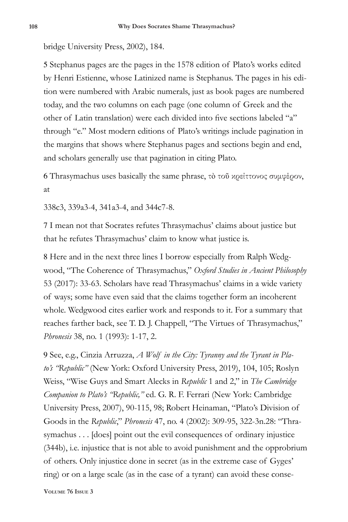bridge University Press, 2002), 184.

5 Stephanus pages are the pages in the 1578 edition of Plato's works edited by Henri Estienne, whose Latinized name is Stephanus. The pages in his edition were numbered with Arabic numerals, just as book pages are numbered today, and the two columns on each page (one column of Greek and the other of Latin translation) were each divided into five sections labeled "a" through "e." Most modern editions of Plato's writings include pagination in the margins that shows where Stephanus pages and sections begin and end, and scholars generally use that pagination in citing Plato.

6 Thrasymachus uses basically the same phrase, τὸ τοῦ κρείττονος συμφέρον, at

338c3, 339a3-4, 341a3-4, and 344c7-8.

7 I mean not that Socrates refutes Thrasymachus' claims about justice but that he refutes Thrasymachus' claim to know what justice is.

8 Here and in the next three lines I borrow especially from Ralph Wedgwood, "The Coherence of Thrasymachus," *Oxford Studies in Ancient Philosophy* 53 (2017): 33-63. Scholars have read Thrasymachus' claims in a wide variety of ways; some have even said that the claims together form an incoherent whole. Wedgwood cites earlier work and responds to it. For a summary that reaches farther back, see T. D. J. Chappell, "The Virtues of Thrasymachus," *Phronesis* 38, no. 1 (1993): 1-17, 2.

9 See, e.g., Cinzia Arruzza, *A Wolf in the City: Tyranny and the Tyrant in Plato's "Republic"* (New York: Oxford University Press, 2019), 104, 105; Roslyn Weiss, "Wise Guys and Smart Alecks in *Republic* 1 and 2," in *The Cambridge Companion to Plato's "Republic,"* ed. G. R. F. Ferrari (New York: Cambridge University Press, 2007), 90-115, 98; Robert Heinaman, "Plato's Division of Goods in the *Republic*," *Phronesis* 47, no. 4 (2002): 309-95, 322-3n.28: "Thrasymachus . . . [does] point out the evil consequences of ordinary injustice (344b), i.e. injustice that is not able to avoid punishment and the opprobrium of others. Only injustice done in secret (as in the extreme case of Gyges' ring) or on a large scale (as in the case of a tyrant) can avoid these conse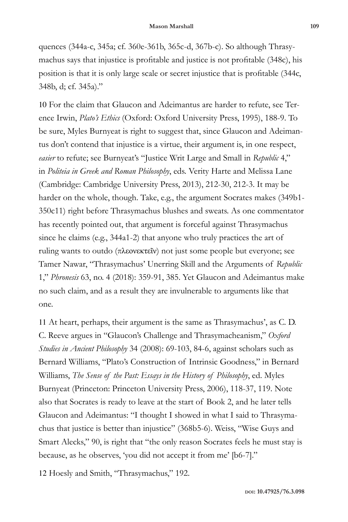quences (344a-c, 345a; cf. 360e-361b, 365c-d, 367b-c). So although Thrasymachus says that injustice is profitable and justice is not profitable (348c), his position is that it is only large scale or secret injustice that is profitable (344c, 348b, d; cf. 345a)."

10 For the claim that Glaucon and Adeimantus are harder to refute, see Terence Irwin, *Plato's Ethics* (Oxford: Oxford University Press, 1995), 188-9. To be sure, Myles Burnyeat is right to suggest that, since Glaucon and Adeimantus don't contend that injustice is a virtue, their argument is, in one respect, *easier* to refute; see Burnyeat's "Justice Writ Large and Small in *Republic* 4," in *Politeia in Greek and Roman Philosophy*, eds. Verity Harte and Melissa Lane (Cambridge: Cambridge University Press, 2013), 212-30, 212-3. It may be harder on the whole, though. Take, e.g., the argument Socrates makes (349b1- 350c11) right before Thrasymachus blushes and sweats. As one commentator has recently pointed out, that argument is forceful against Thrasymachus since he claims (e.g., 344a1-2) that anyone who truly practices the art of ruling wants to outdo (πλεονεκτεῖν) not just some people but everyone; see Tamer Nawar, "Thrasymachus' Unerring Skill and the Arguments of *Republic* 1," *Phronesis* 63, no. 4 (2018): 359-91, 385. Yet Glaucon and Adeimantus make no such claim, and as a result they are invulnerable to arguments like that one.

11 At heart, perhaps, their argument is the same as Thrasymachus', as C. D. C. Reeve argues in "Glaucon's Challenge and Thrasymacheanism," *Oxford Studies in Ancient Philosophy* 34 (2008): 69-103, 84-6, against scholars such as Bernard Williams, "Plato's Construction of Intrinsic Goodness," in Bernard Williams, *The Sense of the Past: Essays in the History of Philosophy*, ed. Myles Burnyeat (Princeton: Princeton University Press, 2006), 118-37, 119. Note also that Socrates is ready to leave at the start of Book 2, and he later tells Glaucon and Adeimantus: "I thought I showed in what I said to Thrasymachus that justice is better than injustice" (368b5-6). Weiss, "Wise Guys and Smart Alecks," 90, is right that "the only reason Socrates feels he must stay is because, as he observes, 'you did not accept it from me' [b6-7]."

12 Hoesly and Smith, "Thrasymachus," 192.